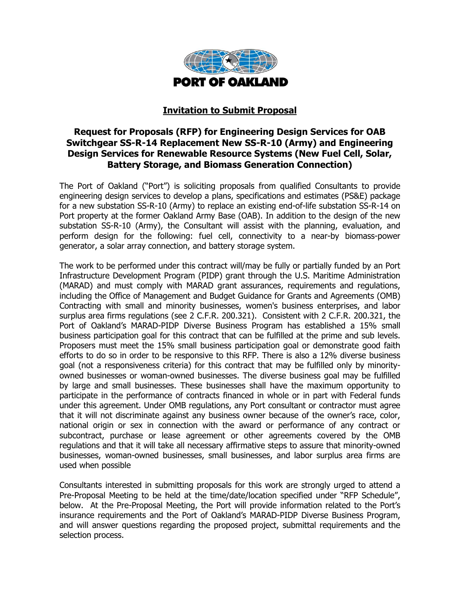

## **Invitation to Submit Proposal**

# **Request for Proposals (RFP) for Engineering Design Services for OAB Switchgear SS-R-14 Replacement New SS-R-10 (Army) and Engineering Design Services for Renewable Resource Systems (New Fuel Cell, Solar, Battery Storage, and Biomass Generation Connection)**

The Port of Oakland ("Port") is soliciting proposals from qualified Consultants to provide engineering design services to develop a plans, specifications and estimates (PS&E) package for a new substation SS-R-10 (Army) to replace an existing end-of-life substation SS-R-14 on Port property at the former Oakland Army Base (OAB). In addition to the design of the new substation SS-R-10 (Army), the Consultant will assist with the planning, evaluation, and perform design for the following: fuel cell, connectivity to a near-by biomass-power generator, a solar array connection, and battery storage system.

The work to be performed under this contract will/may be fully or partially funded by an Port Infrastructure Development Program (PIDP) grant through the U.S. Maritime Administration (MARAD) and must comply with MARAD grant assurances, requirements and regulations, including the Office of Management and Budget Guidance for Grants and Agreements (OMB) Contracting with small and minority businesses, women's business enterprises, and labor surplus area firms regulations (see 2 C.F.R. 200.321). Consistent with 2 C.F.R. 200.321, the Port of Oakland's MARAD-PIDP Diverse Business Program has established a 15% small business participation goal for this contract that can be fulfilled at the prime and sub levels. Proposers must meet the 15% small business participation goal or demonstrate good faith efforts to do so in order to be responsive to this RFP. There is also a 12% diverse business goal (not a responsiveness criteria) for this contract that may be fulfilled only by minorityowned businesses or woman-owned businesses. The diverse business goal may be fulfilled by large and small businesses. These businesses shall have the maximum opportunity to participate in the performance of contracts financed in whole or in part with Federal funds under this agreement. Under OMB regulations, any Port consultant or contractor must agree that it will not discriminate against any business owner because of the owner's race, color, national origin or sex in connection with the award or performance of any contract or subcontract, purchase or lease agreement or other agreements covered by the OMB regulations and that it will take all necessary affirmative steps to assure that minority-owned businesses, woman-owned businesses, small businesses, and labor surplus area firms are used when possible

Consultants interested in submitting proposals for this work are strongly urged to attend a Pre-Proposal Meeting to be held at the time/date/location specified under "RFP Schedule", below. At the Pre-Proposal Meeting, the Port will provide information related to the Port's insurance requirements and the Port of Oakland's MARAD-PIDP Diverse Business Program, and will answer questions regarding the proposed project, submittal requirements and the selection process.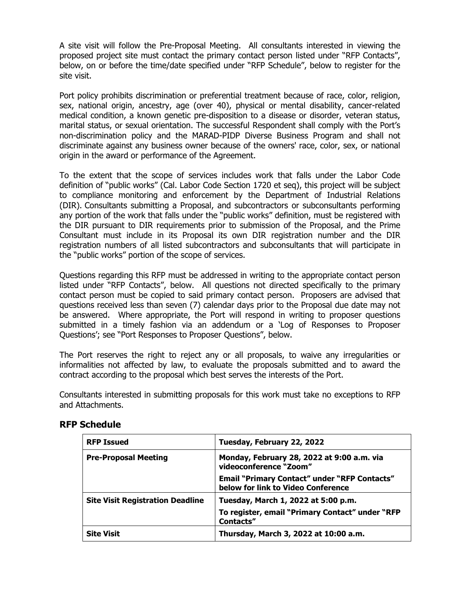A site visit will follow the Pre-Proposal Meeting. All consultants interested in viewing the proposed project site must contact the primary contact person listed under "RFP Contacts", below, on or before the time/date specified under "RFP Schedule", below to register for the site visit.

Port policy prohibits discrimination or preferential treatment because of race, color, religion, sex, national origin, ancestry, age (over 40), physical or mental disability, cancer-related medical condition, a known genetic pre-disposition to a disease or disorder, veteran status, marital status, or sexual orientation. The successful Respondent shall comply with the Port's non-discrimination policy and the MARAD-PIDP Diverse Business Program and shall not discriminate against any business owner because of the owners' race, color, sex, or national origin in the award or performance of the Agreement.

To the extent that the scope of services includes work that falls under the Labor Code definition of "public works" (Cal. Labor Code Section 1720 et seq), this project will be subject to compliance monitoring and enforcement by the Department of Industrial Relations (DIR). Consultants submitting a Proposal, and subcontractors or subconsultants performing any portion of the work that falls under the "public works" definition, must be registered with the DIR pursuant to DIR requirements prior to submission of the Proposal, and the Prime Consultant must include in its Proposal its own DIR registration number and the DIR registration numbers of all listed subcontractors and subconsultants that will participate in the "public works" portion of the scope of services.

Questions regarding this RFP must be addressed in writing to the appropriate contact person listed under "RFP Contacts", below. All questions not directed specifically to the primary contact person must be copied to said primary contact person. Proposers are advised that questions received less than seven (7) calendar days prior to the Proposal due date may not be answered. Where appropriate, the Port will respond in writing to proposer questions submitted in a timely fashion via an addendum or a 'Log of Responses to Proposer Questions'; see "Port Responses to Proposer Questions", below.

The Port reserves the right to reject any or all proposals, to waive any irregularities or informalities not affected by law, to evaluate the proposals submitted and to award the contract according to the proposal which best serves the interests of the Port.

Consultants interested in submitting proposals for this work must take no exceptions to RFP and Attachments.

| <b>RFP Issued</b>                       | Tuesday, February 22, 2022                                                                |  |
|-----------------------------------------|-------------------------------------------------------------------------------------------|--|
| <b>Pre-Proposal Meeting</b>             | Monday, February 28, 2022 at 9:00 a.m. via<br>videoconference "Zoom"                      |  |
|                                         | <b>Email "Primary Contact" under "RFP Contacts"</b><br>below for link to Video Conference |  |
| <b>Site Visit Registration Deadline</b> | Tuesday, March 1, 2022 at 5:00 p.m.                                                       |  |
|                                         | To register, email "Primary Contact" under "RFP<br>Contacts"                              |  |
| <b>Site Visit</b>                       | Thursday, March 3, 2022 at 10:00 a.m.                                                     |  |

# **RFP Schedule**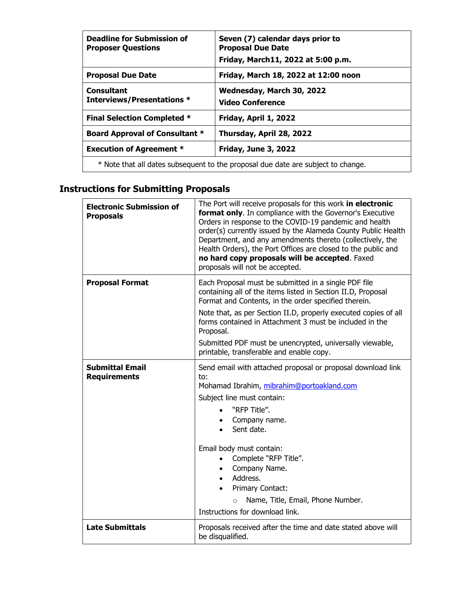| <b>Deadline for Submission of</b><br><b>Proposer Questions</b>                   | Seven (7) calendar days prior to<br><b>Proposal Due Date</b> |  |
|----------------------------------------------------------------------------------|--------------------------------------------------------------|--|
|                                                                                  | Friday, March11, 2022 at 5:00 p.m.                           |  |
| <b>Proposal Due Date</b>                                                         | Friday, March 18, 2022 at 12:00 noon                         |  |
| <b>Consultant</b>                                                                | Wednesday, March 30, 2022                                    |  |
| <b>Interviews/Presentations *</b>                                                | <b>Video Conference</b>                                      |  |
| <b>Final Selection Completed *</b>                                               | Friday, April 1, 2022                                        |  |
| <b>Board Approval of Consultant *</b><br>Thursday, April 28, 2022                |                                                              |  |
| <b>Execution of Agreement *</b>                                                  | <b>Friday, June 3, 2022</b>                                  |  |
| * Note that all dates subsequent to the proposal due date are subject to change. |                                                              |  |

# **Instructions for Submitting Proposals**

| <b>Electronic Submission of</b><br><b>Proposals</b> | The Port will receive proposals for this work in electronic<br>format only. In compliance with the Governor's Executive<br>Orders in response to the COVID-19 pandemic and health<br>order(s) currently issued by the Alameda County Public Health<br>Department, and any amendments thereto (collectively, the<br>Health Orders), the Port Offices are closed to the public and<br>no hard copy proposals will be accepted. Faxed<br>proposals will not be accepted. |  |  |
|-----------------------------------------------------|-----------------------------------------------------------------------------------------------------------------------------------------------------------------------------------------------------------------------------------------------------------------------------------------------------------------------------------------------------------------------------------------------------------------------------------------------------------------------|--|--|
| <b>Proposal Format</b>                              | Each Proposal must be submitted in a single PDF file<br>containing all of the items listed in Section II.D, Proposal<br>Format and Contents, in the order specified therein.<br>Note that, as per Section II.D, properly executed copies of all                                                                                                                                                                                                                       |  |  |
|                                                     | forms contained in Attachment 3 must be included in the<br>Proposal.                                                                                                                                                                                                                                                                                                                                                                                                  |  |  |
|                                                     | Submitted PDF must be unencrypted, universally viewable,<br>printable, transferable and enable copy.                                                                                                                                                                                                                                                                                                                                                                  |  |  |
| <b>Submittal Email</b><br><b>Requirements</b>       | Send email with attached proposal or proposal download link<br>to:<br>Mohamad Ibrahim, mibrahim@portoakland.com<br>Subject line must contain:<br>"RFP Title".<br>Company name.<br>Sent date.<br>Email body must contain:<br>Complete "RFP Title".<br>Company Name.<br>Address.<br>$\bullet$<br>Primary Contact:<br>Name, Title, Email, Phone Number.<br>$\circ$                                                                                                       |  |  |
|                                                     | Instructions for download link.                                                                                                                                                                                                                                                                                                                                                                                                                                       |  |  |
| <b>Late Submittals</b>                              | Proposals received after the time and date stated above will<br>be disqualified.                                                                                                                                                                                                                                                                                                                                                                                      |  |  |